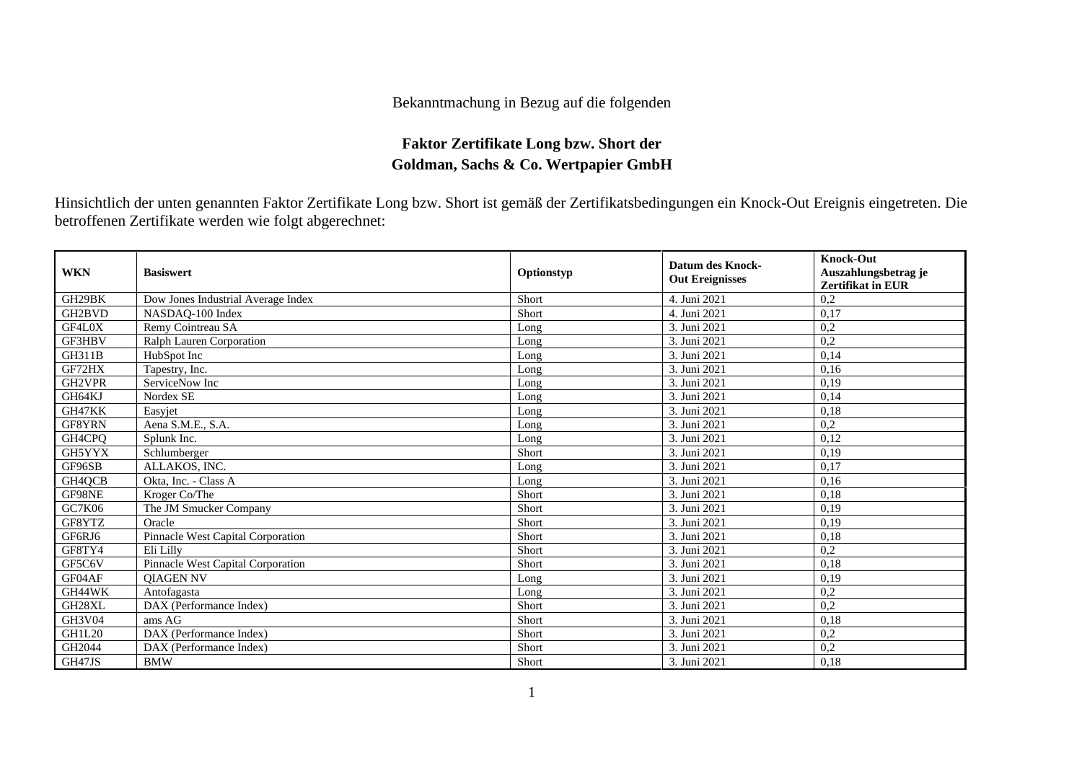## Bekanntmachung in Bezug auf die folgenden

## **Faktor Zertifikate Long bzw. Short der Goldman, Sachs & Co. Wertpapier GmbH**

Hinsichtlich der unten genannten Faktor Zertifikate Long bzw. Short ist gemäß der Zertifikatsbedingungen ein Knock-Out Ereignis eingetreten. Die betroffenen Zertifikate werden wie folgt abgerechnet:

| <b>WKN</b>    | <b>Basiswert</b>                   | Optionstyp | <b>Datum des Knock-</b><br><b>Out Ereignisses</b> | <b>Knock-Out</b><br>Auszahlungsbetrag je<br><b>Zertifikat in EUR</b> |
|---------------|------------------------------------|------------|---------------------------------------------------|----------------------------------------------------------------------|
| GH29BK        | Dow Jones Industrial Average Index | Short      | 4. Juni 2021                                      | 0,2                                                                  |
| GH2BVD        | NASDAQ-100 Index                   | Short      | 4. Juni 2021                                      | 0,17                                                                 |
| GF4L0X        | Remy Cointreau SA                  | Long       | 3. Juni 2021                                      | 0,2                                                                  |
| GF3HBV        | Ralph Lauren Corporation           | Long       | 3. Juni 2021                                      | 0,2                                                                  |
| <b>GH311B</b> | HubSpot Inc                        | Long       | 3. Juni 2021                                      | 0,14                                                                 |
| GF72HX        | Tapestry, Inc.                     | Long       | 3. Juni 2021                                      | 0,16                                                                 |
| GH2VPR        | ServiceNow Inc                     | Long       | 3. Juni 2021                                      | 0,19                                                                 |
| GH64KJ        | Nordex SE                          | Long       | 3. Juni 2021                                      | 0,14                                                                 |
| GH47KK        | Easyjet                            | Long       | 3. Juni 2021                                      | 0,18                                                                 |
| GF8YRN        | Aena S.M.E., S.A.                  | Long       | 3. Juni 2021                                      | 0,2                                                                  |
| GH4CPQ        | Splunk Inc.                        | Long       | 3. Juni 2021                                      | 0,12                                                                 |
| GH5YYX        | Schlumberger                       | Short      | 3. Juni 2021                                      | 0,19                                                                 |
| GF96SB        | ALLAKOS, INC.                      | Long       | 3. Juni 2021                                      | 0,17                                                                 |
| GH4QCB        | Okta, Inc. - Class A               | Long       | 3. Juni 2021                                      | 0,16                                                                 |
| GF98NE        | Kroger Co/The                      | Short      | 3. Juni 2021                                      | 0,18                                                                 |
| <b>GC7K06</b> | The JM Smucker Company             | Short      | 3. Juni 2021                                      | 0,19                                                                 |
| GF8YTZ        | Oracle                             | Short      | 3. Juni 2021                                      | 0,19                                                                 |
| GF6RJ6        | Pinnacle West Capital Corporation  | Short      | 3. Juni 2021                                      | 0,18                                                                 |
| GF8TY4        | Eli Lilly                          | Short      | 3. Juni 2021                                      | 0,2                                                                  |
| GF5C6V        | Pinnacle West Capital Corporation  | Short      | 3. Juni 2021                                      | 0,18                                                                 |
| GF04AF        | <b>OIAGEN NV</b>                   | Long       | 3. Juni 2021                                      | 0,19                                                                 |
| GH44WK        | Antofagasta                        | Long       | 3. Juni 2021                                      | 0,2                                                                  |
| GH28XL        | DAX (Performance Index)            | Short      | 3. Juni 2021                                      | 0,2                                                                  |
| <b>GH3V04</b> | ams $AG$                           | Short      | 3. Juni 2021                                      | 0,18                                                                 |
| <b>GH1L20</b> | DAX (Performance Index)            | Short      | 3. Juni 2021                                      | 0,2                                                                  |
| GH2044        | DAX (Performance Index)            | Short      | 3. Juni 2021                                      | 0,2                                                                  |
| GH47JS        | <b>BMW</b>                         | Short      | 3. Juni 2021                                      | 0,18                                                                 |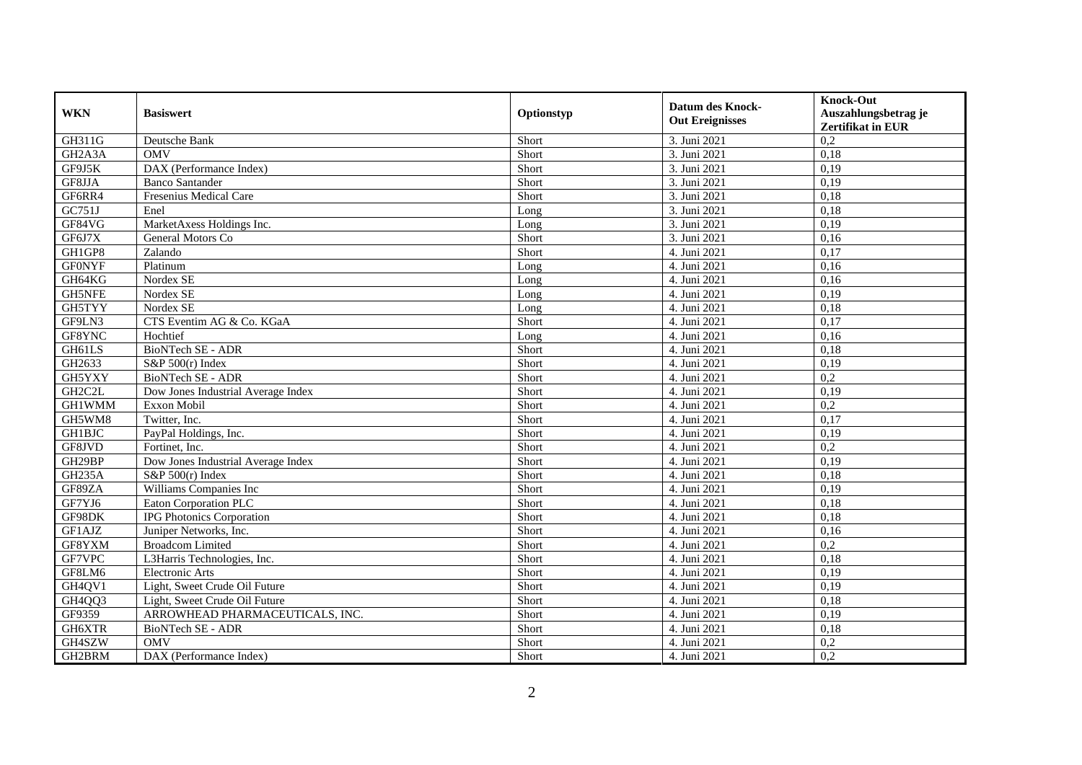| <b>WKN</b>                       | <b>Basiswert</b>                   | Optionstyp | <b>Datum des Knock-</b><br><b>Out Ereignisses</b> | <b>Knock-Out</b><br>Auszahlungsbetrag je<br><b>Zertifikat in EUR</b> |
|----------------------------------|------------------------------------|------------|---------------------------------------------------|----------------------------------------------------------------------|
| GH311G                           | Deutsche Bank                      | Short      | 3. Juni 2021                                      | 0,2                                                                  |
| GH <sub>2</sub> A <sub>3</sub> A | <b>OMV</b>                         | Short      | 3. Juni 2021                                      | 0,18                                                                 |
| GF9J5K                           | DAX (Performance Index)            | Short      | 3. Juni 2021                                      | 0,19                                                                 |
| GF8JJA                           | <b>Banco Santander</b>             | Short      | 3. Juni 2021                                      | 0,19                                                                 |
| GF6RR4                           | <b>Fresenius Medical Care</b>      | Short      | 3. Juni 2021                                      | 0,18                                                                 |
| GC751J                           | Enel                               | Long       | 3. Juni 2021                                      | 0.18                                                                 |
| GF84VG                           | MarketAxess Holdings Inc.          | Long       | 3. Juni 2021                                      | 0,19                                                                 |
| GF6J7X                           | General Motors Co                  | Short      | 3. Juni 2021                                      | 0,16                                                                 |
| GH1GP8                           | $\overline{Z}$ alando              | Short      | 4. Juni 2021                                      | 0,17                                                                 |
| <b>GF0NYF</b>                    | Platinum                           | Long       | 4. Juni 2021                                      | 0,16                                                                 |
| GH64KG                           | Nordex SE                          | Long       | 4. Juni 2021                                      | 0.16                                                                 |
| <b>GH5NFE</b>                    | Nordex SE                          | Long       | 4. Juni 2021                                      | 0,19                                                                 |
| GH5TYY                           | Nordex SE                          | Long       | 4. Juni 2021                                      | 0,18                                                                 |
| GF9LN3                           | CTS Eventim AG & Co. KGaA          | Short      | 4. Juni 2021                                      | 0,17                                                                 |
| GF8YNC                           | Hochtief                           | Long       | 4. Juni 2021                                      | 0,16                                                                 |
| GH61LS                           | BioNTech SE - ADR                  | Short      | 4. Juni 2021                                      | 0,18                                                                 |
| GH2633                           | S&P $500(r)$ Index                 | Short      | 4. Juni 2021                                      | 0,19                                                                 |
| GH5YXY                           | <b>BioNTech SE - ADR</b>           | Short      | 4. Juni 2021                                      | 0,2                                                                  |
| GH2C2L                           | Dow Jones Industrial Average Index | Short      | 4. Juni 2021                                      | 0,19                                                                 |
| <b>GH1WMM</b>                    | Exxon Mobil                        | Short      | 4. Juni 2021                                      | 0,2                                                                  |
| GH5WM8                           | Twitter, Inc.                      | Short      | 4. Juni 2021                                      | 0,17                                                                 |
| <b>GH1BJC</b>                    | PayPal Holdings, Inc.              | Short      | 4. Juni 2021                                      | 0,19                                                                 |
| GF8JVD                           | Fortinet, Inc.                     | Short      | 4. Juni 2021                                      | 0,2                                                                  |
| GH29BP                           | Dow Jones Industrial Average Index | Short      | 4. Juni 2021                                      | 0,19                                                                 |
| <b>GH235A</b>                    | $S\&P 500(r)$ Index                | Short      | 4. Juni 2021                                      | 0.18                                                                 |
| GF89ZA                           | Williams Companies Inc             | Short      | 4. Juni 2021                                      | 0,19                                                                 |
| GF7YJ6                           | Eaton Corporation PLC              | Short      | 4. Juni 2021                                      | 0,18                                                                 |
| GF98DK                           | <b>IPG</b> Photonics Corporation   | Short      | 4. Juni 2021                                      | 0.18                                                                 |
| GF1AJZ                           | Juniper Networks, Inc.             | Short      | 4. Juni 2021                                      | 0,16                                                                 |
| GF8YXM                           | <b>Broadcom Limited</b>            | Short      | 4. Juni 2021                                      | 0,2                                                                  |
| GF7VPC                           | L3Harris Technologies, Inc.        | Short      | 4. Juni 2021                                      | 0,18                                                                 |
| GF8LM6                           | <b>Electronic Arts</b>             | Short      | 4. Juni 2021                                      | 0,19                                                                 |
| GH4QV1                           | Light, Sweet Crude Oil Future      | Short      | 4. Juni 2021                                      | 0,19                                                                 |
| GH4QQ3                           | Light, Sweet Crude Oil Future      | Short      | 4. Juni 2021                                      | 0,18                                                                 |
| GF9359                           | ARROWHEAD PHARMACEUTICALS, INC.    | Short      | 4. Juni 2021                                      | 0,19                                                                 |
| GH6XTR                           | BioNTech SE - ADR                  | Short      | 4. Juni 2021                                      | 0,18                                                                 |
| GH4SZW                           | <b>OMV</b>                         | Short      | 4. Juni 2021                                      | 0,2                                                                  |
| GH2BRM                           | DAX (Performance Index)            | Short      | 4. Juni 2021                                      | 0,2                                                                  |